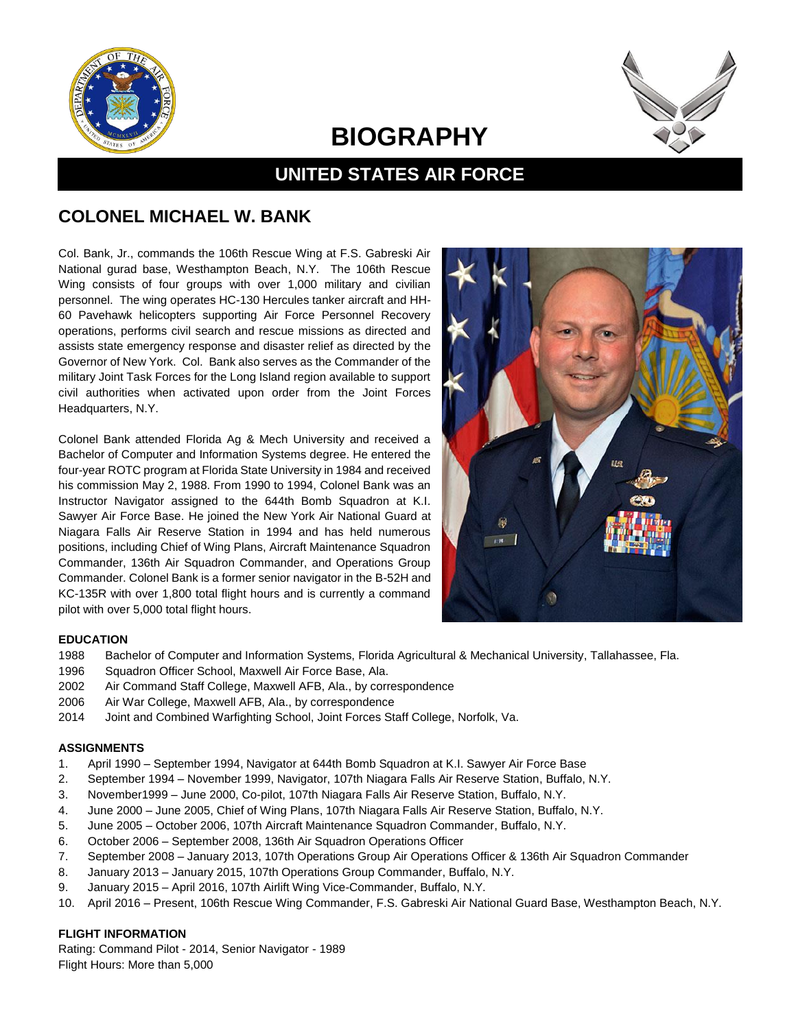

# **BIOGRAPHY**



## **UNITED STATES AIR FORCE**

### **COLONEL MICHAEL W. BANK**

Col. Bank, Jr., commands the 106th Rescue Wing at F.S. Gabreski Air National gurad base, Westhampton Beach, N.Y. The 106th Rescue Wing consists of four groups with over 1,000 military and civilian personnel. The wing operates HC-130 Hercules tanker aircraft and HH-60 Pavehawk helicopters supporting Air Force Personnel Recovery operations, performs civil search and rescue missions as directed and assists state emergency response and disaster relief as directed by the Governor of New York. Col. Bank also serves as the Commander of the military Joint Task Forces for the Long Island region available to support civil authorities when activated upon order from the Joint Forces Headquarters, N.Y.

Colonel Bank attended Florida Ag & Mech University and received a Bachelor of Computer and Information Systems degree. He entered the four-year ROTC program at Florida State University in 1984 and received his commission May 2, 1988. From 1990 to 1994, Colonel Bank was an Instructor Navigator assigned to the 644th Bomb Squadron at K.I. Sawyer Air Force Base. He joined the New York Air National Guard at Niagara Falls Air Reserve Station in 1994 and has held numerous positions, including Chief of Wing Plans, Aircraft Maintenance Squadron Commander, 136th Air Squadron Commander, and Operations Group Commander. Colonel Bank is a former senior navigator in the B-52H and KC-135R with over 1,800 total flight hours and is currently a command pilot with over 5,000 total flight hours.



#### **EDUCATION**

- 1988 Bachelor of Computer and Information Systems, Florida Agricultural & Mechanical University, Tallahassee, Fla.
- 1996 Squadron Officer School, Maxwell Air Force Base, Ala.
- 2002 Air Command Staff College, Maxwell AFB, Ala., by correspondence
- 2006 Air War College, Maxwell AFB, Ala., by correspondence
- 2014 Joint and Combined Warfighting School, Joint Forces Staff College, Norfolk, Va.

#### **ASSIGNMENTS**

- 1. April 1990 September 1994, Navigator at 644th Bomb Squadron at K.I. Sawyer Air Force Base
- 2. September 1994 November 1999, Navigator, 107th Niagara Falls Air Reserve Station, Buffalo, N.Y.
- 3. November1999 June 2000, Co-pilot, 107th Niagara Falls Air Reserve Station, Buffalo, N.Y.
- 4. June 2000 June 2005, Chief of Wing Plans, 107th Niagara Falls Air Reserve Station, Buffalo, N.Y.
- 5. June 2005 October 2006, 107th Aircraft Maintenance Squadron Commander, Buffalo, N.Y.
- 6. October 2006 September 2008, 136th Air Squadron Operations Officer
- 7. September 2008 January 2013, 107th Operations Group Air Operations Officer & 136th Air Squadron Commander
- 8. January 2013 January 2015, 107th Operations Group Commander, Buffalo, N.Y.
- 9. January 2015 April 2016, 107th Airlift Wing Vice-Commander, Buffalo, N.Y.
- 10. April 2016 Present, 106th Rescue Wing Commander, F.S. Gabreski Air National Guard Base, Westhampton Beach, N.Y.

#### **FLIGHT INFORMATION**

Rating: Command Pilot - 2014, Senior Navigator - 1989 Flight Hours: More than 5,000